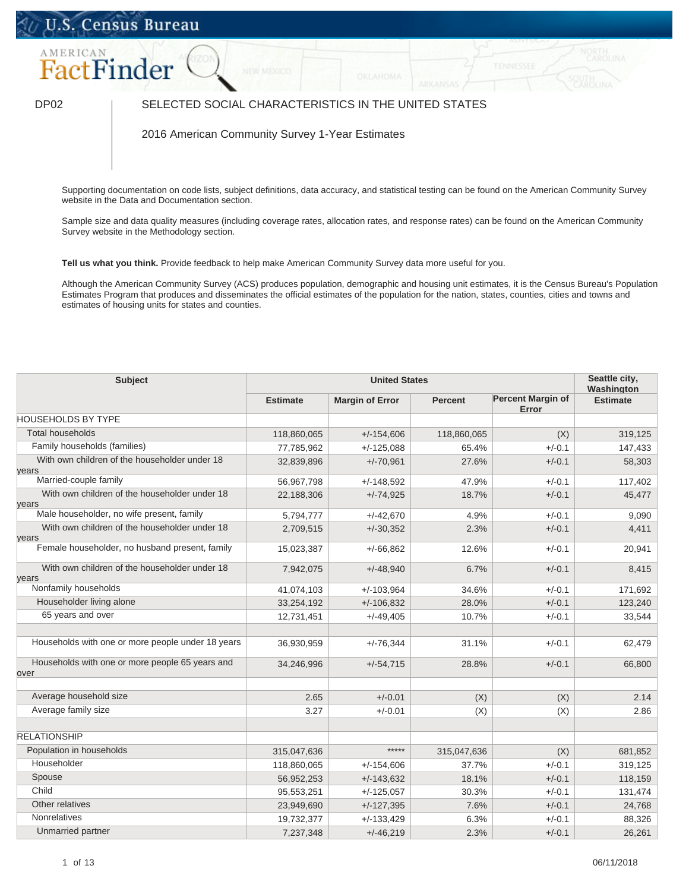## U.S. Census Bureau



## DP02 | SELECTED SOCIAL CHARACTERISTICS IN THE UNITED STATES

2016 American Community Survey 1-Year Estimates

Supporting documentation on code lists, subject definitions, data accuracy, and statistical testing can be found on the American Community Survey website in the Data and Documentation section.

Sample size and data quality measures (including coverage rates, allocation rates, and response rates) can be found on the American Community Survey website in the Methodology section.

**Tell us what you think.** Provide feedback to help make American Community Survey data more useful for you.

Although the American Community Survey (ACS) produces population, demographic and housing unit estimates, it is the Census Bureau's Population Estimates Program that produces and disseminates the official estimates of the population for the nation, states, counties, cities and towns and estimates of housing units for states and counties.

| Subject                                                 | <b>United States</b> |                        |                |                                   | Seattle city,<br>Washington |
|---------------------------------------------------------|----------------------|------------------------|----------------|-----------------------------------|-----------------------------|
|                                                         | <b>Estimate</b>      | <b>Margin of Error</b> | <b>Percent</b> | <b>Percent Margin of</b><br>Error | <b>Estimate</b>             |
| <b>HOUSEHOLDS BY TYPE</b>                               |                      |                        |                |                                   |                             |
| <b>Total households</b>                                 | 118,860,065          | $+/-154,606$           | 118,860,065    | (X)                               | 319,125                     |
| Family households (families)                            | 77,785,962           | $+/-125,088$           | 65.4%          | $+/-0.1$                          | 147,433                     |
| With own children of the householder under 18<br>years  | 32,839,896           | $+/-70,961$            | 27.6%          | $+/-0.1$                          | 58,303                      |
| Married-couple family                                   | 56,967,798           | $+/-148,592$           | 47.9%          | $+/-0.1$                          | 117,402                     |
| With own children of the householder under 18<br>years  | 22,188,306           | $+/-74,925$            | 18.7%          | $+/-0.1$                          | 45,477                      |
| Male householder, no wife present, family               | 5,794,777            | $+/-42,670$            | 4.9%           | $+/-0.1$                          | 9,090                       |
| With own children of the householder under 18<br>years  | 2,709,515            | $+/-30,352$            | 2.3%           | $+/-0.1$                          | 4,411                       |
| Female householder, no husband present, family          | 15,023,387           | $+/-66,862$            | 12.6%          | $+/-0.1$                          | 20,941                      |
| With own children of the householder under 18<br>years  | 7,942,075            | $+/-48,940$            | 6.7%           | $+/-0.1$                          | 8,415                       |
| Nonfamily households                                    | 41,074,103           | $+/-103.964$           | 34.6%          | $+/-0.1$                          | 171,692                     |
| Householder living alone                                | 33,254,192           | $+/-106,832$           | 28.0%          | $+/-0.1$                          | 123,240                     |
| 65 years and over                                       | 12,731,451           | $+/-49,405$            | 10.7%          | $+/-0.1$                          | 33,544                      |
| Households with one or more people under 18 years       | 36,930,959           | $+/-76,344$            | 31.1%          | $+/-0.1$                          | 62,479                      |
| Households with one or more people 65 years and<br>over | 34,246,996           | $+/-54,715$            | 28.8%          | $+/-0.1$                          | 66,800                      |
| Average household size                                  | 2.65                 | $+/-0.01$              | (X)            | (X)                               | 2.14                        |
| Average family size                                     | 3.27                 | $+/-0.01$              | (X)            | (X)                               | 2.86                        |
|                                                         |                      |                        |                |                                   |                             |
| <b>RELATIONSHIP</b>                                     |                      |                        |                |                                   |                             |
| Population in households                                | 315,047,636          | *****                  | 315,047,636    | (X)                               | 681,852                     |
| Householder                                             | 118,860,065          | $+/-154,606$           | 37.7%          | $+/-0.1$                          | 319,125                     |
| Spouse                                                  | 56,952,253           | $+/-143,632$           | 18.1%          | $+/-0.1$                          | 118,159                     |
| Child                                                   | 95,553,251           | $+/-125,057$           | 30.3%          | $+/-0.1$                          | 131,474                     |
| Other relatives                                         | 23,949,690           | $+/-127,395$           | 7.6%           | $+/-0.1$                          | 24,768                      |
| Nonrelatives                                            | 19,732,377           | $+/-133,429$           | 6.3%           | $+/-0.1$                          | 88,326                      |
| Unmarried partner                                       | 7,237,348            | $+/-46,219$            | 2.3%           | $+/-0.1$                          | 26,261                      |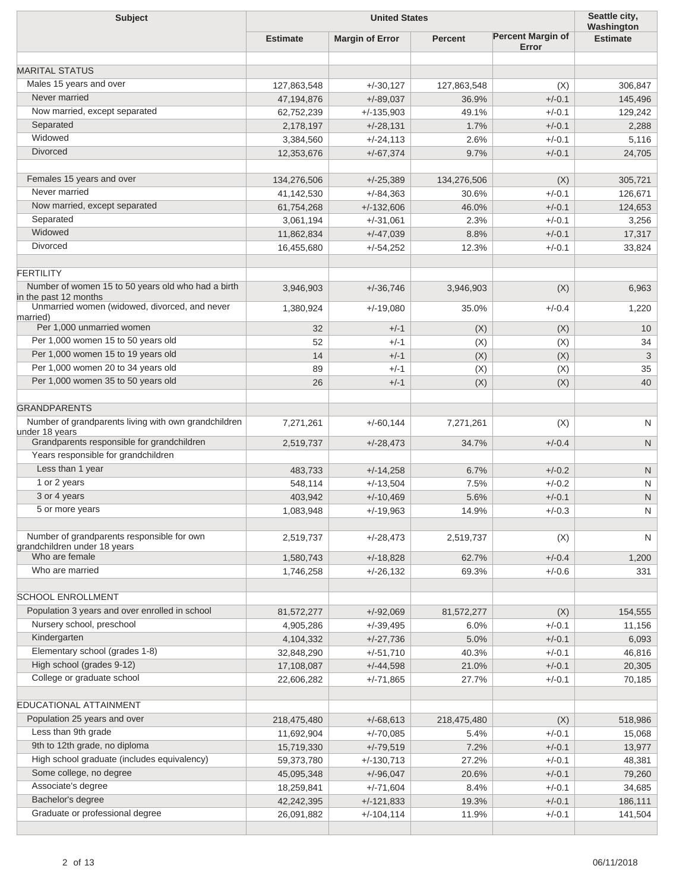| <b>Subject</b>                                                             | <b>United States</b> |                        |                |                                   | Seattle city,<br>Washington |
|----------------------------------------------------------------------------|----------------------|------------------------|----------------|-----------------------------------|-----------------------------|
|                                                                            | <b>Estimate</b>      | <b>Margin of Error</b> | <b>Percent</b> | <b>Percent Margin of</b><br>Error | <b>Estimate</b>             |
| <b>MARITAL STATUS</b>                                                      |                      |                        |                |                                   |                             |
| Males 15 years and over                                                    |                      | $+/-30,127$            |                |                                   |                             |
| Never married                                                              | 127,863,548          |                        | 127,863,548    | (X)                               | 306,847                     |
|                                                                            | 47,194,876           | $+/-89,037$            | 36.9%          | $+/-0.1$                          | 145,496                     |
| Now married, except separated                                              | 62,752,239           | $+/-135,903$           | 49.1%          | $+/-0.1$                          | 129,242                     |
| Separated                                                                  | 2,178,197            | $+/-28,131$            | 1.7%           | $+/-0.1$                          | 2,288                       |
| Widowed                                                                    | 3,384,560            | $+/-24,113$            | 2.6%           | $+/-0.1$                          | 5,116                       |
| Divorced                                                                   | 12,353,676           | $+/-67,374$            | 9.7%           | $+/-0.1$                          | 24,705                      |
| Females 15 years and over                                                  | 134,276,506          | $+/-25,389$            | 134,276,506    | (X)                               | 305,721                     |
| Never married                                                              | 41,142,530           | $+/-84,363$            | 30.6%          | $+/-0.1$                          | 126,671                     |
| Now married, except separated                                              | 61,754,268           | $+/-132,606$           | 46.0%          | $+/-0.1$                          | 124,653                     |
| Separated                                                                  | 3,061,194            | $+/-31,061$            | 2.3%           | $+/-0.1$                          | 3,256                       |
| Widowed                                                                    | 11,862,834           | $+/-47,039$            | 8.8%           | $+/-0.1$                          | 17,317                      |
| Divorced                                                                   | 16,455,680           | $+/-54,252$            | 12.3%          | $+/-0.1$                          | 33,824                      |
| <b>FERTILITY</b>                                                           |                      |                        |                |                                   |                             |
| Number of women 15 to 50 years old who had a birth                         | 3,946,903            | $+/-36,746$            | 3,946,903      | (X)                               | 6,963                       |
| in the past 12 months<br>Unmarried women (widowed, divorced, and never     | 1,380,924            | $+/-19,080$            | 35.0%          | $+/-0.4$                          | 1,220                       |
| married)<br>Per 1,000 unmarried women                                      |                      |                        |                |                                   |                             |
| Per 1,000 women 15 to 50 years old                                         | 32                   | $+/-1$                 | (X)            | (X)                               | 10                          |
|                                                                            | 52                   | $+/-1$                 | (X)            | (X)                               | 34                          |
| Per 1,000 women 15 to 19 years old                                         | 14                   | $+/-1$                 | (X)            | (X)                               | 3                           |
| Per 1,000 women 20 to 34 years old                                         | 89                   | $+/-1$                 | (X)            | (X)                               | 35                          |
| Per 1,000 women 35 to 50 years old                                         | 26                   | $+/-1$                 | (X)            | (X)                               | 40                          |
| <b>GRANDPARENTS</b>                                                        |                      |                        |                |                                   |                             |
| Number of grandparents living with own grandchildren<br>under 18 years     | 7,271,261            | $+/-60,144$            | 7,271,261      | (X)                               | N                           |
| Grandparents responsible for grandchildren                                 | 2,519,737            | $+/-28,473$            | 34.7%          | $+/-0.4$                          | N                           |
| Years responsible for grandchildren                                        |                      |                        |                |                                   |                             |
| Less than 1 year                                                           | 483,733              | $+/-14,258$            | 6.7%           | $+/-0.2$                          | $\mathsf{N}$                |
| 1 or 2 years                                                               | 548,114              | $+/-13,504$            | 7.5%           | $+/-0.2$                          | N                           |
| 3 or 4 years                                                               | 403,942              | $+/-10,469$            | 5.6%           | $+/-0.1$                          | $\mathsf{N}$                |
| 5 or more years                                                            | 1,083,948            | $+/-19,963$            | 14.9%          | $+/-0.3$                          | N                           |
|                                                                            |                      |                        |                |                                   |                             |
| Number of grandparents responsible for own<br>grandchildren under 18 vears | 2,519,737            | $+/-28,473$            | 2,519,737      | (X)                               | N                           |
| Who are female                                                             | 1,580,743            | $+/-18,828$            | 62.7%          | $+/-0.4$                          | 1,200                       |
| Who are married                                                            | 1,746,258            | $+/-26,132$            | 69.3%          | $+/-0.6$                          | 331                         |
| <b>SCHOOL ENROLLMENT</b>                                                   |                      |                        |                |                                   |                             |
|                                                                            |                      |                        |                |                                   |                             |
| Population 3 years and over enrolled in school                             | 81,572,277           | $+/-92,069$            | 81,572,277     | (X)                               | 154,555                     |
| Nursery school, preschool                                                  | 4,905,286            | $+/-39,495$            | 6.0%           | $+/-0.1$                          | 11,156                      |
| Kindergarten                                                               | 4,104,332            | $+/-27,736$            | 5.0%           | $+/-0.1$                          | 6,093                       |
| Elementary school (grades 1-8)                                             | 32,848,290           | $+/-51,710$            | 40.3%          | $+/-0.1$                          | 46,816                      |
| High school (grades 9-12)                                                  | 17,108,087           | $+/-44,598$            | 21.0%          | $+/-0.1$                          | 20,305                      |
| College or graduate school                                                 | 22,606,282           | $+/-71,865$            | 27.7%          | $+/-0.1$                          | 70,185                      |
| <b>EDUCATIONAL ATTAINMENT</b>                                              |                      |                        |                |                                   |                             |
| Population 25 years and over                                               | 218,475,480          | $+/-68,613$            | 218,475,480    | (X)                               | 518,986                     |
| Less than 9th grade                                                        | 11,692,904           | $+/-70,085$            | 5.4%           | $+/-0.1$                          | 15,068                      |
| 9th to 12th grade, no diploma                                              |                      |                        | 7.2%           | $+/-0.1$                          |                             |
| High school graduate (includes equivalency)                                | 15,719,330           | $+/-79,519$            |                |                                   | 13,977                      |
| Some college, no degree                                                    | 59,373,780           | $+/-130,713$           | 27.2%          | $+/-0.1$                          | 48,381                      |
|                                                                            | 45,095,348           | $+/-96,047$            | 20.6%          | $+/-0.1$                          | 79,260                      |
| Associate's degree                                                         | 18,259,841           | $+/-71,604$            | 8.4%           | $+/-0.1$                          | 34,685                      |
| Bachelor's degree                                                          | 42,242,395           | $+/-121,833$           | 19.3%          | $+/-0.1$                          | 186,111                     |
| Graduate or professional degree                                            | 26,091,882           | $+/-104,114$           | 11.9%          | $+/-0.1$                          | 141,504                     |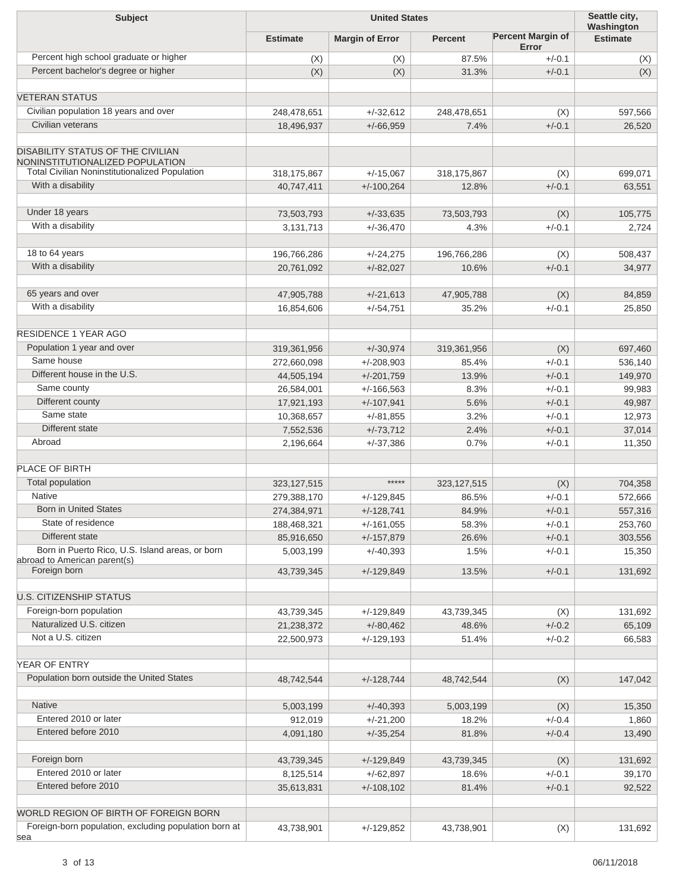| <b>Subject</b>                                                                                 | <b>United States</b> |                        |                |                                   | Seattle city,<br>Washington |
|------------------------------------------------------------------------------------------------|----------------------|------------------------|----------------|-----------------------------------|-----------------------------|
|                                                                                                | <b>Estimate</b>      | <b>Margin of Error</b> | <b>Percent</b> | <b>Percent Margin of</b><br>Error | <b>Estimate</b>             |
| Percent high school graduate or higher                                                         | (X)                  | (X)                    | 87.5%          | $+/-0.1$                          | (X)                         |
| Percent bachelor's degree or higher                                                            | (X)                  | (X)                    | 31.3%          | $+/-0.1$                          | (X)                         |
| <b>VETERAN STATUS</b>                                                                          |                      |                        |                |                                   |                             |
| Civilian population 18 years and over                                                          | 248,478,651          | $+/-32,612$            | 248,478,651    | (X)                               | 597,566                     |
| Civilian veterans                                                                              | 18,496,937           | $+/-66,959$            | 7.4%           | $+/-0.1$                          | 26,520                      |
|                                                                                                |                      |                        |                |                                   |                             |
| <b>DISABILITY STATUS OF THE CIVILIAN</b><br>NONINSTITUTIONALIZED POPULATION                    |                      |                        |                |                                   |                             |
| <b>Total Civilian Noninstitutionalized Population</b>                                          | 318, 175, 867        | $+/-15,067$            | 318,175,867    | (X)                               | 699,071                     |
| With a disability                                                                              | 40,747,411           | $+/-100,264$           | 12.8%          | $+/-0.1$                          | 63,551                      |
| Under 18 years                                                                                 | 73,503,793           | $+/-33,635$            | 73,503,793     | (X)                               | 105,775                     |
| With a disability                                                                              | 3,131,713            | $+/-36,470$            | 4.3%           | $+/-0.1$                          | 2,724                       |
| 18 to 64 years                                                                                 | 196,766,286          | $+/-24,275$            | 196,766,286    | (X)                               | 508,437                     |
| With a disability                                                                              | 20,761,092           | $+/-82,027$            | 10.6%          | $+/-0.1$                          | 34,977                      |
|                                                                                                |                      |                        |                |                                   |                             |
| 65 years and over                                                                              | 47,905,788           | $+/-21,613$            | 47,905,788     | (X)                               | 84,859                      |
| With a disability                                                                              | 16,854,606           | $+/-54,751$            | 35.2%          | $+/-0.1$                          | 25,850                      |
| <b>RESIDENCE 1 YEAR AGO</b>                                                                    |                      |                        |                |                                   |                             |
| Population 1 year and over                                                                     | 319,361,956          | $+/-30,974$            | 319,361,956    | (X)                               | 697,460                     |
| Same house                                                                                     | 272,660,098          | $+/-208,903$           | 85.4%          | $+/-0.1$                          | 536,140                     |
| Different house in the U.S.                                                                    | 44,505,194           | $+/-201,759$           | 13.9%          | $+/-0.1$                          | 149,970                     |
| Same county                                                                                    | 26,584,001           | $+/-166,563$           | 8.3%           | $+/-0.1$                          | 99,983                      |
| Different county                                                                               | 17,921,193           | $+/-107,941$           | 5.6%           | $+/-0.1$                          | 49,987                      |
| Same state                                                                                     | 10,368,657           | $+/-81,855$            | 3.2%           | $+/-0.1$                          | 12,973                      |
| Different state                                                                                | 7,552,536            | $+/-73,712$            | 2.4%           | $+/-0.1$                          | 37,014                      |
| Abroad                                                                                         | 2,196,664            | $+/-37,386$            | 0.7%           | $+/-0.1$                          | 11,350                      |
| PLACE OF BIRTH                                                                                 |                      |                        |                |                                   |                             |
|                                                                                                |                      | $****$                 |                |                                   |                             |
| <b>Total population</b>                                                                        | 323, 127, 515        |                        | 323, 127, 515  | (X)                               | 704,358                     |
| <b>Native</b>                                                                                  | 279,388,170          | $+/-129,845$           | 86.5%          | $+/-0.1$                          | 572,666                     |
| <b>Born in United States</b>                                                                   | 274,384,971          | $+/-128,741$           | 84.9%          | $+/-0.1$                          | 557,316                     |
| State of residence                                                                             | 188,468,321          | $+/-161,055$           | 58.3%          | $+/-0.1$                          | 253,760                     |
| Different state                                                                                | 85,916,650           | $+/-157,879$           | 26.6%          | $+/-0.1$                          | 303,556                     |
| Born in Puerto Rico, U.S. Island areas, or born<br>abroad to American parent(s)                | 5,003,199            | $+/-40,393$            | 1.5%           | $+/-0.1$                          | 15,350                      |
| Foreign born                                                                                   | 43,739,345           | $+/-129,849$           | 13.5%          | $+/-0.1$                          | 131,692                     |
| <b>U.S. CITIZENSHIP STATUS</b>                                                                 |                      |                        |                |                                   |                             |
| Foreign-born population                                                                        | 43,739,345           | $+/-129.849$           | 43,739,345     | (X)                               | 131,692                     |
| Naturalized U.S. citizen                                                                       | 21,238,372           | $+/-80,462$            | 48.6%          | $+/-0.2$                          | 65,109                      |
| Not a U.S. citizen                                                                             | 22,500,973           | $+/-129,193$           | 51.4%          | $+/-0.2$                          | 66,583                      |
| YEAR OF ENTRY                                                                                  |                      |                        |                |                                   |                             |
| Population born outside the United States                                                      |                      |                        |                |                                   |                             |
|                                                                                                | 48,742,544           | $+/-128,744$           | 48,742,544     | (X)                               | 147,042                     |
| Native                                                                                         | 5,003,199            | $+/-40,393$            | 5,003,199      | (X)                               | 15,350                      |
| Entered 2010 or later                                                                          | 912,019              | $+/-21,200$            | 18.2%          | $+/-0.4$                          | 1,860                       |
| Entered before 2010                                                                            | 4,091,180            | $+/-35,254$            | 81.8%          | $+/-0.4$                          | 13,490                      |
| Foreign born                                                                                   | 43,739,345           | $+/-129,849$           | 43,739,345     | (X)                               | 131,692                     |
| Entered 2010 or later                                                                          | 8,125,514            | $+/-62,897$            | 18.6%          | $+/-0.1$                          | 39,170                      |
| Entered before 2010                                                                            | 35,613,831           | $+/-108,102$           | 81.4%          | $+/-0.1$                          | 92,522                      |
|                                                                                                |                      |                        |                |                                   |                             |
| WORLD REGION OF BIRTH OF FOREIGN BORN<br>Foreign-born population, excluding population born at |                      |                        |                |                                   |                             |
| sea                                                                                            | 43,738,901           | $+/-129,852$           | 43,738,901     | (X)                               | 131,692                     |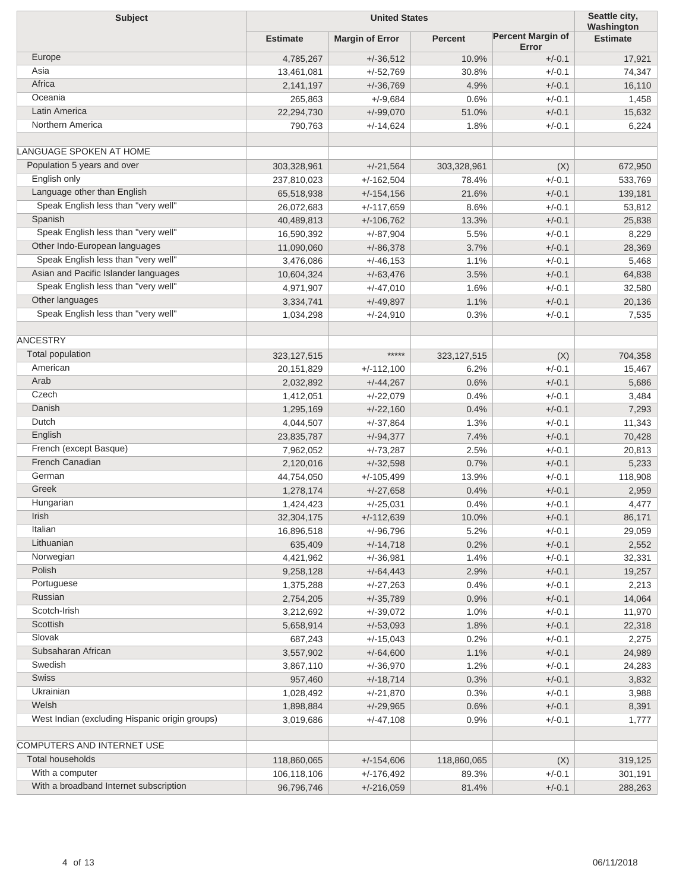| <b>Subject</b>                                 | <b>United States</b> |                        |                |                                   | Seattle city,<br>Washington |
|------------------------------------------------|----------------------|------------------------|----------------|-----------------------------------|-----------------------------|
|                                                | <b>Estimate</b>      | <b>Margin of Error</b> | <b>Percent</b> | <b>Percent Margin of</b><br>Error | <b>Estimate</b>             |
| Europe                                         | 4,785,267            | $+/-36,512$            | 10.9%          | $+/-0.1$                          | 17,921                      |
| Asia                                           | 13,461,081           | $+/-52,769$            | 30.8%          | $+/-0.1$                          | 74,347                      |
| Africa                                         | 2,141,197            | $+/-36,769$            | 4.9%           | $+/-0.1$                          | 16,110                      |
| Oceania                                        | 265,863              | $+/-9,684$             | 0.6%           | $+/-0.1$                          | 1,458                       |
| Latin America                                  | 22,294,730           | $+/-99,070$            | 51.0%          | $+/-0.1$                          | 15,632                      |
| Northern America                               | 790,763              | $+/-14,624$            | 1.8%           | $+/-0.1$                          | 6,224                       |
| LANGUAGE SPOKEN AT HOME                        |                      |                        |                |                                   |                             |
| Population 5 years and over                    | 303,328,961          | $+/-21,564$            | 303,328,961    | (X)                               | 672,950                     |
| English only                                   | 237,810,023          | $+/-162,504$           | 78.4%          | $+/-0.1$                          | 533,769                     |
| Language other than English                    | 65,518,938           | $+/-154,156$           | 21.6%          | $+/-0.1$                          | 139,181                     |
| Speak English less than "very well"            | 26,072,683           | $+/-117,659$           | 8.6%           | $+/-0.1$                          | 53,812                      |
| Spanish                                        | 40,489,813           | $+/-106,762$           | 13.3%          | $+/-0.1$                          | 25,838                      |
| Speak English less than "very well"            | 16,590,392           | $+/-87,904$            | 5.5%           | $+/-0.1$                          | 8,229                       |
| Other Indo-European languages                  | 11,090,060           | $+/-86,378$            | 3.7%           | $+/-0.1$                          | 28,369                      |
| Speak English less than "very well"            | 3,476,086            | $+/-46,153$            | 1.1%           | $+/-0.1$                          | 5,468                       |
| Asian and Pacific Islander languages           | 10,604,324           | $+/-63,476$            | 3.5%           | $+/-0.1$                          | 64,838                      |
| Speak English less than "very well"            | 4,971,907            | $+/-47,010$            | 1.6%           | $+/-0.1$                          | 32,580                      |
| Other languages                                | 3,334,741            | $+/-49,897$            | 1.1%           | $+/-0.1$                          |                             |
| Speak English less than "very well"            | 1,034,298            |                        | 0.3%           | $+/-0.1$                          | 20,136                      |
|                                                |                      | +/-24,910              |                |                                   | 7,535                       |
| <b>ANCESTRY</b>                                |                      |                        |                |                                   |                             |
| Total population                               | 323, 127, 515        | *****                  | 323, 127, 515  | (X)                               | 704,358                     |
| American                                       |                      |                        | 6.2%           | $+/-0.1$                          |                             |
| Arab                                           | 20,151,829           | $+/-112,100$           |                | $+/-0.1$                          | 15,467                      |
| Czech                                          | 2,032,892            | $+/-44,267$            | 0.6%<br>0.4%   | $+/-0.1$                          | 5,686                       |
| Danish                                         | 1,412,051            | $+/-22,079$            |                |                                   | 3,484                       |
| Dutch                                          | 1,295,169            | $+/-22,160$            | 0.4%           | $+/-0.1$                          | 7,293                       |
| English                                        | 4,044,507            | $+/-37,864$            | 1.3%           | $+/-0.1$                          | 11,343                      |
| French (except Basque)                         | 23,835,787           | $+/-94,377$            | 7.4%           | $+/-0.1$                          | 70,428                      |
| French Canadian                                | 7,962,052            | $+/-73,287$            | 2.5%           | $+/-0.1$                          | 20,813                      |
| German                                         | 2,120,016            | $+/-32,598$            | 0.7%           | $+/-0.1$                          | 5,233                       |
| Greek                                          | 44,754,050           | $+/-105,499$           | 13.9%          | $+/-0.1$                          | 118,908                     |
| Hungarian                                      | 1,278,174            | $+/-27,658$            | 0.4%           | $+/-0.1$                          | 2,959                       |
| <b>Irish</b>                                   | 1,424,423            | $+/-25,031$            | 0.4%           | $+/-0.1$                          | 4,477                       |
|                                                | 32,304,175           | $+/-112,639$           | 10.0%          | $+/-0.1$                          | 86,171                      |
| Italian<br>Lithuanian                          | 16,896,518           | +/-96,796              | 5.2%           | $+/-0.1$                          | 29,059                      |
|                                                | 635,409              | $+/-14,718$            | 0.2%           | $+/-0.1$                          | 2,552                       |
| Norwegian<br>Polish                            | 4,421,962            | $+/-36,981$            | 1.4%           | $+/-0.1$                          | 32,331                      |
|                                                | 9,258,128            | $+/-64,443$            | 2.9%           | $+/-0.1$                          | 19,257                      |
| Portuguese<br>Russian                          | 1,375,288            | +/-27,263              | 0.4%           | $+/-0.1$                          | 2,213                       |
| Scotch-Irish                                   | 2,754,205            | $+/-35,789$            | 0.9%           | $+/-0.1$                          | 14,064                      |
|                                                | 3,212,692            | $+/-39,072$            | 1.0%           | $+/-0.1$                          | 11,970                      |
| Scottish                                       | 5,658,914            | $+/-53,093$            | 1.8%           | $+/-0.1$                          | 22,318                      |
| Slovak                                         | 687,243              | $+/-15,043$            | 0.2%           | $+/-0.1$                          | 2,275                       |
| Subsaharan African                             | 3,557,902            | $+/-64,600$            | 1.1%           | $+/-0.1$                          | 24,989                      |
| Swedish                                        | 3,867,110            | $+/-36,970$            | 1.2%           | $+/-0.1$                          | 24,283                      |
| Swiss                                          | 957,460              | $+/-18,714$            | 0.3%           | $+/-0.1$                          | 3,832                       |
| Ukrainian                                      | 1,028,492            | +/-21,870              | 0.3%           | $+/-0.1$                          | 3,988                       |
| Welsh                                          | 1,898,884            | $+/-29,965$            | 0.6%           | $+/-0.1$                          | 8,391                       |
| West Indian (excluding Hispanic origin groups) | 3,019,686            | +/-47,108              | 0.9%           | $+/-0.1$                          | 1,777                       |
| COMPUTERS AND INTERNET USE                     |                      |                        |                |                                   |                             |
| <b>Total households</b>                        | 118,860,065          | $+/-154,606$           | 118,860,065    | (X)                               | 319,125                     |
| With a computer                                | 106,118,106          | $+/-176,492$           | 89.3%          | $+/-0.1$                          | 301,191                     |
| With a broadband Internet subscription         | 96,796,746           | $+/-216,059$           | 81.4%          | $+/-0.1$                          | 288,263                     |
|                                                |                      |                        |                |                                   |                             |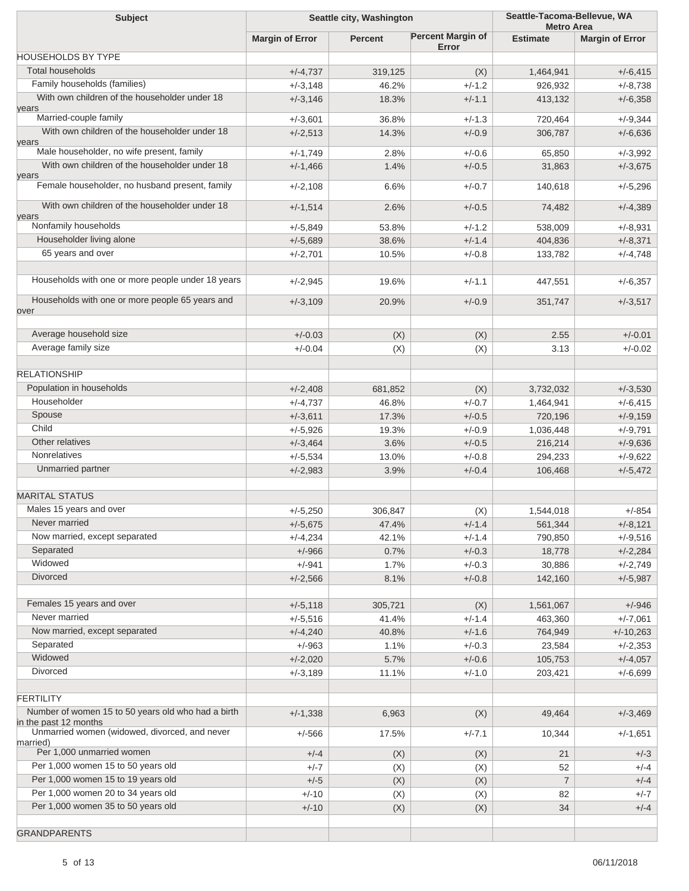| <b>Subject</b>                                                              | Seattle city, Washington |                | Seattle-Tacoma-Bellevue, WA<br><b>Metro Area</b> |                   |                          |
|-----------------------------------------------------------------------------|--------------------------|----------------|--------------------------------------------------|-------------------|--------------------------|
|                                                                             | <b>Margin of Error</b>   | <b>Percent</b> | <b>Percent Margin of</b><br>Error                | <b>Estimate</b>   | <b>Margin of Error</b>   |
| <b>HOUSEHOLDS BY TYPE</b>                                                   |                          |                |                                                  |                   |                          |
| <b>Total households</b>                                                     | $+/-4,737$               | 319,125        | (X)                                              | 1,464,941         | $+/-6,415$               |
| Family households (families)                                                | $+/-3,148$               | 46.2%          | $+/-1.2$                                         | 926,932           | $+/-8,738$               |
| With own children of the householder under 18<br>years                      | $+/-3,146$               | 18.3%          | $+/-1.1$                                         | 413,132           | $+/-6,358$               |
| Married-couple family                                                       | $+/-3,601$               | 36.8%          | $+/-1.3$                                         | 720,464           | $+/-9,344$               |
| With own children of the householder under 18<br>years                      | $+/-2,513$               | 14.3%          | $+/-0.9$                                         | 306,787           | $+/-6,636$               |
| Male householder, no wife present, family                                   | $+/-1,749$               | 2.8%           | $+/-0.6$                                         | 65.850            | $+/-3,992$               |
| With own children of the householder under 18<br>years                      | $+/-1,466$               | 1.4%           | $+/-0.5$                                         | 31,863            | $+/-3,675$               |
| Female householder, no husband present, family                              | $+/-2,108$               | 6.6%           | $+/-0.7$                                         | 140,618           | $+/-5,296$               |
| With own children of the householder under 18<br>years                      | $+/-1,514$               | 2.6%           | $+/-0.5$                                         | 74,482            | $+/-4,389$               |
| Nonfamily households                                                        | $+/-5,849$               | 53.8%          | $+/-1.2$                                         | 538,009           | $+/-8,931$               |
| Householder living alone                                                    | $+/-5,689$               | 38.6%          | $+/-1.4$                                         | 404,836           | $+/-8,371$               |
| 65 years and over                                                           | $+/-2,701$               | 10.5%          | $+/-0.8$                                         | 133,782           | $+/-4,748$               |
| Households with one or more people under 18 years                           | $+/-2,945$               | 19.6%          | $+/-1.1$                                         | 447,551           | $+/-6,357$               |
|                                                                             |                          |                |                                                  |                   |                          |
| Households with one or more people 65 years and<br>over                     | $+/-3,109$               | 20.9%          | $+/-0.9$                                         | 351,747           | $+/-3,517$               |
| Average household size                                                      | $+/-0.03$                |                |                                                  |                   | $+/-0.01$                |
| Average family size                                                         |                          | (X)            | (X)                                              | 2.55              |                          |
|                                                                             | $+/-0.04$                | (X)            | (X)                                              | 3.13              | $+/-0.02$                |
| <b>RELATIONSHIP</b>                                                         |                          |                |                                                  |                   |                          |
| Population in households                                                    | $+/-2,408$               | 681,852        | (X)                                              | 3,732,032         | $+/-3,530$               |
| Householder                                                                 | $+/-4,737$               | 46.8%          | $+/-0.7$                                         | 1,464,941         | $+/-6,415$               |
| Spouse                                                                      | $+/-3,611$               | 17.3%          | $+/-0.5$                                         | 720,196           | $+/-9,159$               |
| Child                                                                       | $+/-5,926$               | 19.3%          | $+/-0.9$                                         | 1,036,448         | $+/-9,791$               |
| Other relatives                                                             | $+/-3,464$               | 3.6%           | $+/-0.5$                                         | 216,214           | $+/-9,636$               |
| <b>Nonrelatives</b>                                                         | $+/-5,534$               | 13.0%          | $+/-0.8$                                         | 294,233           | $+/-9,622$               |
| Unmarried partner                                                           | $+/-2,983$               | 3.9%           | $+/-0.4$                                         | 106,468           | $+/-5,472$               |
| <b>MARITAL STATUS</b>                                                       |                          |                |                                                  |                   |                          |
| Males 15 years and over                                                     | $+/-5,250$               | 306,847        |                                                  | 1,544,018         | $+/-854$                 |
| Never married                                                               |                          |                | (X)<br>$+/-1.4$                                  |                   |                          |
| Now married, except separated                                               | $+/-5,675$               | 47.4%          |                                                  | 561,344           | $+/-8,121$               |
| Separated                                                                   | $+/-4,234$               | 42.1%          | $+/-1.4$                                         | 790,850           | $+/-9,516$               |
| Widowed                                                                     | $+/-966$                 | 0.7%           | $+/-0.3$                                         | 18,778            | $+/-2,284$               |
| <b>Divorced</b>                                                             | $+/-941$<br>$+/-2,566$   | 1.7%<br>8.1%   | $+/-0.3$<br>$+/-0.8$                             | 30,886<br>142,160 | $+/-2,749$<br>$+/-5,987$ |
|                                                                             |                          |                |                                                  |                   |                          |
| Females 15 years and over                                                   | $+/-5,118$               | 305,721        | (X)                                              | 1,561,067         | $+/-946$                 |
| Never married                                                               | $+/-5,516$               | 41.4%          | $+/-1.4$                                         | 463,360           | $+/-7,061$               |
| Now married, except separated                                               | $+/-4,240$               | 40.8%          | $+/-1.6$                                         | 764,949           | $+/-10,263$              |
| Separated                                                                   | $+/-963$                 | 1.1%           | $+/-0.3$                                         | 23,584            | $+/-2,353$               |
| Widowed                                                                     | $+/-2,020$               | 5.7%           | $+/-0.6$                                         | 105,753           | $+/-4,057$               |
| Divorced                                                                    | $+/-3,189$               | 11.1%          | $+/-1.0$                                         | 203,421           | $+/-6,699$               |
| <b>FERTILITY</b>                                                            |                          |                |                                                  |                   |                          |
| Number of women 15 to 50 years old who had a birth<br>in the past 12 months | $+/-1,338$               | 6,963          | (X)                                              | 49,464            | $+/-3,469$               |
| Unmarried women (widowed, divorced, and never<br>married)                   | $+/-566$                 | 17.5%          | $+/-7.1$                                         | 10,344            | $+/-1,651$               |
| Per 1,000 unmarried women                                                   | $+/-4$                   | (X)            | (X)                                              | 21                | $+/-3$                   |
| Per 1,000 women 15 to 50 years old                                          | $+/-7$                   | (X)            | (X)                                              | 52                | $+/-4$                   |
| Per 1,000 women 15 to 19 years old                                          | $+/-5$                   | (X)            | (X)                                              | $\overline{7}$    | $+/-4$                   |
| Per 1,000 women 20 to 34 years old                                          | $+/-10$                  | (X)            | (X)                                              | 82                | $+/-7$                   |
| Per 1,000 women 35 to 50 years old                                          | $+/-10$                  | (X)            | (X)                                              | 34                | $+/-4$                   |
|                                                                             |                          |                |                                                  |                   |                          |
| <b>GRANDPARENTS</b>                                                         |                          |                |                                                  |                   |                          |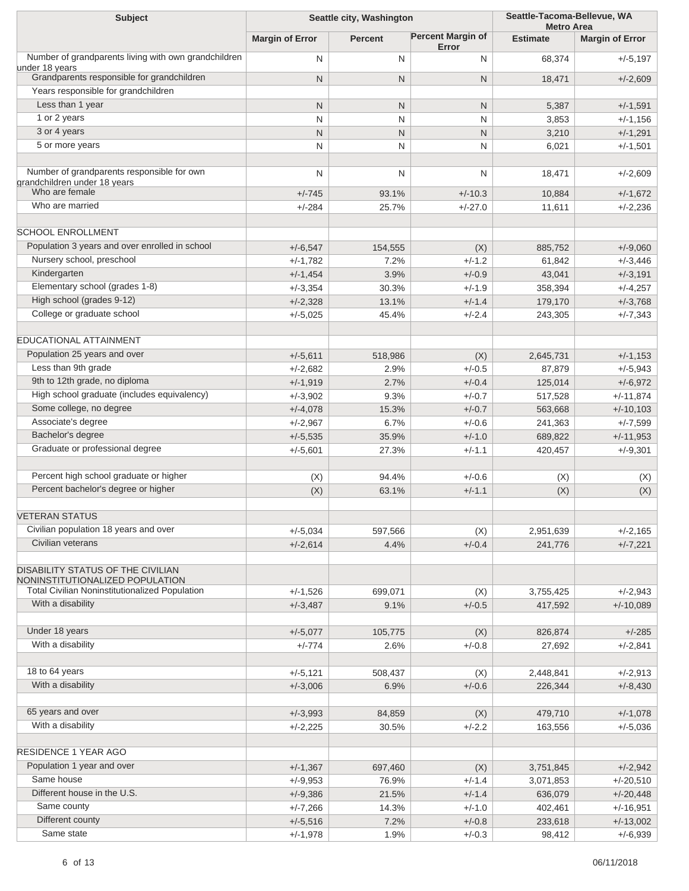| <b>Subject</b>                                                         | Seattle city, Washington |                |                                   | Seattle-Tacoma-Bellevue, WA<br><b>Metro Area</b> |                           |
|------------------------------------------------------------------------|--------------------------|----------------|-----------------------------------|--------------------------------------------------|---------------------------|
|                                                                        | <b>Margin of Error</b>   | <b>Percent</b> | <b>Percent Margin of</b><br>Error | <b>Estimate</b>                                  | <b>Margin of Error</b>    |
| Number of grandparents living with own grandchildren<br>under 18 years | N                        | N              | N                                 | 68,374                                           | $+/-5,197$                |
| Grandparents responsible for grandchildren                             | $\mathsf{N}$             | $\mathsf{N}$   | $\mathsf{N}$                      | 18,471                                           | $+/-2,609$                |
| Years responsible for grandchildren                                    |                          |                |                                   |                                                  |                           |
| Less than 1 year                                                       | N                        | N              | $\mathsf{N}$                      | 5,387                                            | $+/-1,591$                |
| 1 or 2 years                                                           | N                        | N              | N                                 | 3,853                                            | $+/-1,156$                |
| 3 or 4 years                                                           | $\mathsf{N}$             | N              | $\mathsf{N}$                      | 3,210                                            | $+/-1,291$                |
| 5 or more years                                                        | N                        | N              | N                                 | 6,021                                            | $+/-1,501$                |
| Number of grandparents responsible for own                             |                          |                |                                   |                                                  |                           |
| grandchildren under 18 years                                           | N                        | N              | N                                 | 18,471                                           | $+/-2,609$                |
| Who are female                                                         | $+/-745$                 | 93.1%          | $+/-10.3$                         | 10,884                                           | $+/-1,672$                |
| Who are married                                                        | $+/-284$                 | 25.7%          | $+/-27.0$                         | 11,611                                           | $+/-2,236$                |
| <b>SCHOOL ENROLLMENT</b>                                               |                          |                |                                   |                                                  |                           |
| Population 3 years and over enrolled in school                         | $+/-6,547$               | 154,555        | (X)                               | 885,752                                          | $+/-9,060$                |
| Nursery school, preschool                                              | $+/-1,782$               | 7.2%           | $+/-1.2$                          | 61,842                                           | $+/-3,446$                |
| Kindergarten                                                           | $+/-1,454$               | 3.9%           | $+/-0.9$                          | 43,041                                           | $+/-3,191$                |
| Elementary school (grades 1-8)                                         | $+/-3,354$               | 30.3%          | $+/-1.9$                          | 358,394                                          | $+/-4,257$                |
| High school (grades 9-12)                                              |                          |                | $+/-1.4$                          |                                                  | $+/-3,768$                |
| College or graduate school                                             | $+/-2,328$<br>$+/-5,025$ | 13.1%<br>45.4% | $+/-2.4$                          | 179,170<br>243,305                               |                           |
|                                                                        |                          |                |                                   |                                                  | $+/-7,343$                |
| <b>EDUCATIONAL ATTAINMENT</b>                                          |                          |                |                                   |                                                  |                           |
| Population 25 years and over                                           | $+/-5,611$               | 518,986        | (X)                               | 2,645,731                                        | $+/-1,153$                |
| Less than 9th grade                                                    | $+/-2,682$               | 2.9%           | $+/-0.5$                          | 87,879                                           | $+/-5,943$                |
| 9th to 12th grade, no diploma                                          | $+/-1,919$               | 2.7%           | $+/-0.4$                          | 125,014                                          | $+/-6,972$                |
| High school graduate (includes equivalency)                            | $+/-3,902$               | 9.3%           | $+/-0.7$                          | 517,528                                          | $+/-11,874$               |
| Some college, no degree                                                | $+/-4,078$               | 15.3%          | $+/-0.7$                          | 563,668                                          | $+/-10,103$               |
| Associate's degree                                                     | $+/-2,967$               | 6.7%           | $+/-0.6$                          | 241,363                                          | $+/-7,599$                |
| Bachelor's degree                                                      | $+/-5,535$               | 35.9%          | $+/-1.0$                          | 689,822                                          | $+/-11,953$               |
| Graduate or professional degree                                        | $+/-5,601$               | 27.3%          | $+/-1.1$                          | 420,457                                          | $+/-9,301$                |
|                                                                        |                          |                |                                   |                                                  |                           |
| Percent high school graduate or higher                                 | (X)                      | 94.4%          | $+/-0.6$                          | (X)                                              | (X)                       |
| Percent bachelor's degree or higher                                    | (X)                      | 63.1%          | $+/-1.1$                          | (X)                                              | (X)                       |
| <b>VETERAN STATUS</b>                                                  |                          |                |                                   |                                                  |                           |
| Civilian population 18 years and over                                  | $+/-5,034$               | 597,566        | (X)                               | 2,951,639                                        | $+/-2,165$                |
| Civilian veterans                                                      | $+/-2,614$               | 4.4%           | $+/-0.4$                          | 241,776                                          | $+/-7,221$                |
| <b>DISABILITY STATUS OF THE CIVILIAN</b>                               |                          |                |                                   |                                                  |                           |
| NONINSTITUTIONALIZED POPULATION                                        |                          |                |                                   |                                                  |                           |
| <b>Total Civilian Noninstitutionalized Population</b>                  | $+/-1,526$               | 699,071        | (X)                               | 3,755,425                                        | $+/-2,943$                |
| With a disability                                                      | $+/-3,487$               | 9.1%           | $+/-0.5$                          | 417,592                                          | $+/-10,089$               |
|                                                                        |                          |                |                                   |                                                  |                           |
| Under 18 years                                                         | $+/-5,077$               | 105,775        | (X)                               | 826,874                                          | $+/-285$                  |
| With a disability                                                      | $+/-774$                 | 2.6%           | $+/-0.8$                          | 27,692                                           | $+/-2,841$                |
| 18 to 64 years                                                         | $+/-5,121$               | 508,437        | (X)                               | 2,448,841                                        | $+/-2,913$                |
| With a disability                                                      | $+/-3,006$               | 6.9%           | $+/-0.6$                          | 226,344                                          | $+/-8,430$                |
|                                                                        |                          |                |                                   |                                                  |                           |
| 65 years and over                                                      | $+/-3,993$               | 84,859         | (X)                               | 479,710                                          | $+/-1,078$                |
| With a disability                                                      | $+/-2,225$               | 30.5%          | $+/-2.2$                          | 163,556                                          | $+/-5,036$                |
| RESIDENCE 1 YEAR AGO                                                   |                          |                |                                   |                                                  |                           |
| Population 1 year and over                                             |                          |                |                                   |                                                  |                           |
| Same house                                                             | $+/-1,367$               | 697,460        | (X)                               | 3,751,845                                        | $+/-2,942$                |
| Different house in the U.S.                                            | $+/-9,953$               | 76.9%          | $+/-1.4$                          | 3,071,853                                        | $+/-20,510$               |
| Same county                                                            | $+/-9,386$               | 21.5%          | $+/-1.4$                          | 636,079                                          | $+/-20,448$               |
| Different county                                                       | $+/-7,266$               | 14.3%<br>7.2%  | $+/-1.0$<br>$+/-0.8$              | 402,461<br>233,618                               | $+/-16,951$               |
| Same state                                                             | $+/-5,516$<br>$+/-1,978$ | 1.9%           | $+/-0.3$                          | 98,412                                           | $+/-13,002$<br>$+/-6,939$ |
|                                                                        |                          |                |                                   |                                                  |                           |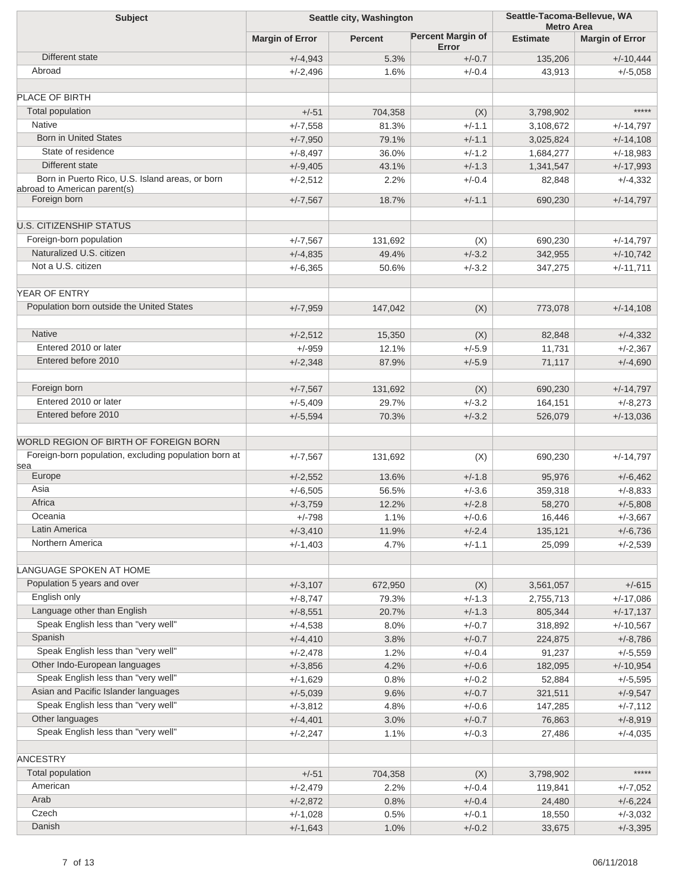| <b>Subject</b>                                               | Seattle city, Washington |                |                                   | Seattle-Tacoma-Bellevue, WA<br><b>Metro Area</b> |                        |
|--------------------------------------------------------------|--------------------------|----------------|-----------------------------------|--------------------------------------------------|------------------------|
|                                                              | <b>Margin of Error</b>   | <b>Percent</b> | <b>Percent Margin of</b><br>Error | <b>Estimate</b>                                  | <b>Margin of Error</b> |
| Different state                                              | $+/-4,943$               | 5.3%           | $+/-0.7$                          | 135,206                                          | $+/-10,444$            |
| Abroad                                                       | $+/-2,496$               | 1.6%           | $+/-0.4$                          | 43,913                                           | $+/-5,058$             |
| PLACE OF BIRTH                                               |                          |                |                                   |                                                  |                        |
| Total population                                             | $+/-51$                  | 704,358        | (X)                               | 3,798,902                                        | *****                  |
| <b>Native</b>                                                | $+/-7,558$               | 81.3%          | $+/-1.1$                          | 3,108,672                                        | $+/-14,797$            |
| <b>Born in United States</b>                                 | $+/-7,950$               | 79.1%          | $+/-1.1$                          | 3,025,824                                        | $+/-14,108$            |
| State of residence                                           | $+/-8,497$               | 36.0%          | $+/-1.2$                          | 1,684,277                                        | $+/-18,983$            |
| Different state                                              | $+/-9,405$               | 43.1%          | $+/-1.3$                          | 1,341,547                                        | $+/-17,993$            |
| Born in Puerto Rico, U.S. Island areas, or born              | $+/-2,512$               | 2.2%           | $+/-0.4$                          | 82,848                                           | $+/-4,332$             |
| abroad to American parent(s)<br>Foreign born                 | $+/-7,567$               | 18.7%          | $+/-1.1$                          | 690,230                                          | $+/-14,797$            |
|                                                              |                          |                |                                   |                                                  |                        |
| <b>U.S. CITIZENSHIP STATUS</b>                               |                          |                |                                   |                                                  |                        |
| Foreign-born population                                      | $+/-7,567$               | 131,692        | (X)                               | 690,230                                          | $+/-14,797$            |
| Naturalized U.S. citizen                                     | $+/-4,835$               | 49.4%          | $+/-3.2$                          | 342,955                                          | $+/-10,742$            |
| Not a U.S. citizen                                           | $+/-6,365$               | 50.6%          | $+/-3.2$                          | 347,275                                          | $+/-11,711$            |
| YEAR OF ENTRY                                                |                          |                |                                   |                                                  |                        |
| Population born outside the United States                    | $+/-7,959$               | 147,042        | (X)                               | 773,078                                          | $+/-14,108$            |
| <b>Native</b>                                                | $+/-2,512$               | 15,350         | (X)                               | 82,848                                           | $+/-4,332$             |
| Entered 2010 or later                                        | $+/-959$                 | 12.1%          | $+/-5.9$                          | 11,731                                           | $+/-2,367$             |
| Entered before 2010                                          | $+/-2,348$               | 87.9%          | $+/-5.9$                          | 71,117                                           | $+/-4,690$             |
|                                                              |                          |                |                                   |                                                  |                        |
| Foreign born                                                 | $+/-7,567$               | 131,692        | (X)                               | 690,230                                          | $+/-14,797$            |
| Entered 2010 or later                                        | $+/-5,409$               | 29.7%          | $+/-3.2$                          | 164,151                                          | $+/-8,273$             |
| Entered before 2010                                          | $+/-5,594$               | 70.3%          | $+/-3.2$                          | 526,079                                          | $+/-13,036$            |
| WORLD REGION OF BIRTH OF FOREIGN BORN                        |                          |                |                                   |                                                  |                        |
| Foreign-born population, excluding population born at<br>sea | $+/-7,567$               | 131,692        | (X)                               | 690,230                                          | $+/-14,797$            |
| Europe                                                       | $+/-2,552$               | 13.6%          | $+/-1.8$                          | 95,976                                           | $+/-6,462$             |
| Asia                                                         | $+/-6,505$               | 56.5%          | $+/-3.6$                          | 359,318                                          | $+/-8,833$             |
| Africa                                                       | $+/-3,759$               | 12.2%          | $+/-2.8$                          | 58,270                                           | $+/-5,808$             |
| Oceania                                                      | $+/-798$                 | 1.1%           | $+/-0.6$                          | 16,446                                           | $+/-3,667$             |
| Latin America                                                | $+/-3,410$               | 11.9%          | $+/-2.4$                          | 135,121                                          | $+/-6,736$             |
| Northern America                                             | $+/-1,403$               | 4.7%           | $+/-1.1$                          | 25,099                                           | $+/-2,539$             |
| LANGUAGE SPOKEN AT HOME                                      |                          |                |                                   |                                                  |                        |
| Population 5 years and over                                  | $+/-3,107$               | 672,950        | (X)                               | 3,561,057                                        | $+/-615$               |
| English only                                                 | $+/-8,747$               | 79.3%          | $+/-1.3$                          | 2,755,713                                        | $+/-17,086$            |
| Language other than English                                  | $+/-8,551$               | 20.7%          | $+/-1.3$                          | 805,344                                          | $+/-17,137$            |
| Speak English less than "very well"                          | $+/-4,538$               | 8.0%           | $+/-0.7$                          | 318,892                                          | $+/-10,567$            |
| Spanish                                                      | $+/-4,410$               | 3.8%           | $+/-0.7$                          | 224,875                                          | $+/-8,786$             |
| Speak English less than "very well"                          | $+/-2,478$               | 1.2%           | $+/-0.4$                          | 91,237                                           | $+/-5,559$             |
| Other Indo-European languages                                | $+/-3,856$               | 4.2%           | $+/-0.6$                          | 182,095                                          | $+/-10,954$            |
| Speak English less than "very well"                          | $+/-1,629$               | 0.8%           | $+/-0.2$                          | 52,884                                           | $+/-5,595$             |
| Asian and Pacific Islander languages                         | $+/-5,039$               | 9.6%           | $+/-0.7$                          | 321,511                                          | $+/-9,547$             |
| Speak English less than "very well"                          | $+/-3,812$               | 4.8%           | $+/-0.6$                          | 147,285                                          | $+/-7,112$             |
| Other languages                                              | $+/-4,401$               | 3.0%           | $+/-0.7$                          | 76,863                                           | $+/-8,919$             |
| Speak English less than "very well"                          | $+/-2,247$               | 1.1%           | $+/-0.3$                          | 27,486                                           | $+/-4,035$             |
| <b>ANCESTRY</b>                                              |                          |                |                                   |                                                  |                        |
| Total population                                             | $+/-51$                  | 704,358        | (X)                               | 3,798,902                                        | *****                  |
| American                                                     | $+/-2,479$               | 2.2%           | $+/-0.4$                          | 119,841                                          | $+/-7,052$             |
| Arab                                                         | $+/-2,872$               | 0.8%           | $+/-0.4$                          | 24,480                                           | $+/-6,224$             |
| Czech                                                        | $+/-1,028$               | 0.5%           | $+/-0.1$                          | 18,550                                           | $+/-3,032$             |
| Danish                                                       | $+/-1,643$               | 1.0%           | $+/-0.2$                          | 33,675                                           | $+/-3,395$             |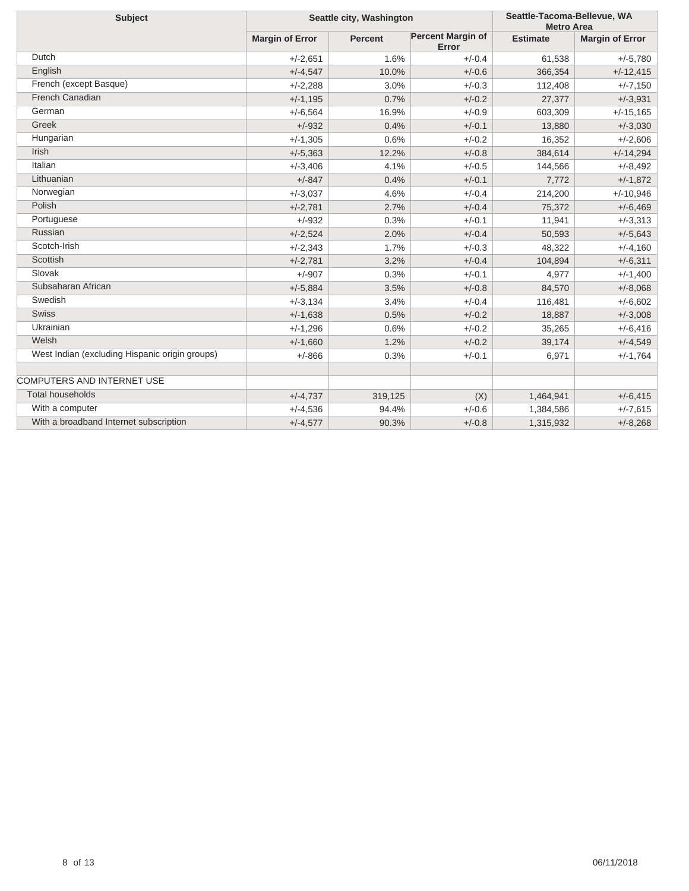| <b>Subject</b>                                 | Seattle city, Washington |                |                                   | Seattle-Tacoma-Bellevue, WA<br><b>Metro Area</b> |                        |
|------------------------------------------------|--------------------------|----------------|-----------------------------------|--------------------------------------------------|------------------------|
|                                                | <b>Margin of Error</b>   | <b>Percent</b> | <b>Percent Margin of</b><br>Error | <b>Estimate</b>                                  | <b>Margin of Error</b> |
| Dutch                                          | $+/-2.651$               | 1.6%           | $+/-0.4$                          | 61,538                                           | $+/-5,780$             |
| English                                        | $+/-4,547$               | 10.0%          | $+/-0.6$                          | 366,354                                          | $+/-12,415$            |
| French (except Basque)                         | $+/-2,288$               | 3.0%           | $+/-0.3$                          | 112,408                                          | $+/-7,150$             |
| French Canadian                                | $+/-1,195$               | 0.7%           | $+/-0.2$                          | 27,377                                           | $+/-3,931$             |
| German                                         | $+/-6,564$               | 16.9%          | $+/-0.9$                          | 603,309                                          | $+/-15,165$            |
| Greek                                          | $+/-932$                 | 0.4%           | $+/-0.1$                          | 13,880                                           | $+/-3,030$             |
| Hungarian                                      | $+/-1,305$               | 0.6%           | $+/-0.2$                          | 16,352                                           | $+/-2,606$             |
| <b>Irish</b>                                   | $+/-5,363$               | 12.2%          | $+/-0.8$                          | 384,614                                          | $+/-14,294$            |
| Italian                                        | $+/-3,406$               | 4.1%           | $+/-0.5$                          | 144,566                                          | $+/-8,492$             |
| Lithuanian                                     | $+/-847$                 | 0.4%           | $+/-0.1$                          | 7,772                                            | $+/-1,872$             |
| Norwegian                                      | $+/-3.037$               | 4.6%           | $+/-0.4$                          | 214,200                                          | $+/-10,946$            |
| Polish                                         | $+/-2,781$               | 2.7%           | $+/-0.4$                          | 75,372                                           | $+/-6,469$             |
| Portuguese                                     | $+/-932$                 | 0.3%           | $+/-0.1$                          | 11,941                                           | $+/-3,313$             |
| Russian                                        | $+/-2,524$               | 2.0%           | $+/-0.4$                          | 50,593                                           | $+/-5,643$             |
| Scotch-Irish                                   | $+/-2,343$               | 1.7%           | $+/-0.3$                          | 48,322                                           | $+/-4,160$             |
| Scottish                                       | $+/-2,781$               | 3.2%           | $+/-0.4$                          | 104,894                                          | $+/-6,311$             |
| Slovak                                         | $+/-907$                 | 0.3%           | $+/-0.1$                          | 4,977                                            | $+/-1,400$             |
| Subsaharan African                             | $+/-5,884$               | 3.5%           | $+/-0.8$                          | 84,570                                           | $+/-8,068$             |
| Swedish                                        | $+/-3,134$               | 3.4%           | $+/-0.4$                          | 116,481                                          | $+/-6,602$             |
| <b>Swiss</b>                                   | $+/-1,638$               | 0.5%           | $+/-0.2$                          | 18,887                                           | $+/-3,008$             |
| Ukrainian                                      | $+/-1,296$               | 0.6%           | $+/-0.2$                          | 35,265                                           | $+/-6,416$             |
| Welsh                                          | $+/-1,660$               | 1.2%           | $+/-0.2$                          | 39,174                                           | $+/-4,549$             |
| West Indian (excluding Hispanic origin groups) | $+/-866$                 | 0.3%           | $+/-0.1$                          | 6,971                                            | $+/-1,764$             |
|                                                |                          |                |                                   |                                                  |                        |
| COMPUTERS AND INTERNET USE                     |                          |                |                                   |                                                  |                        |
| <b>Total households</b>                        | $+/-4,737$               | 319,125        | (X)                               | 1,464,941                                        | $+/-6,415$             |
| With a computer                                | $+/-4,536$               | 94.4%          | $+/-0.6$                          | 1,384,586                                        | $+/-7,615$             |
| With a broadband Internet subscription         | $+/-4,577$               | 90.3%          | $+/-0.8$                          | 1,315,932                                        | $+/-8,268$             |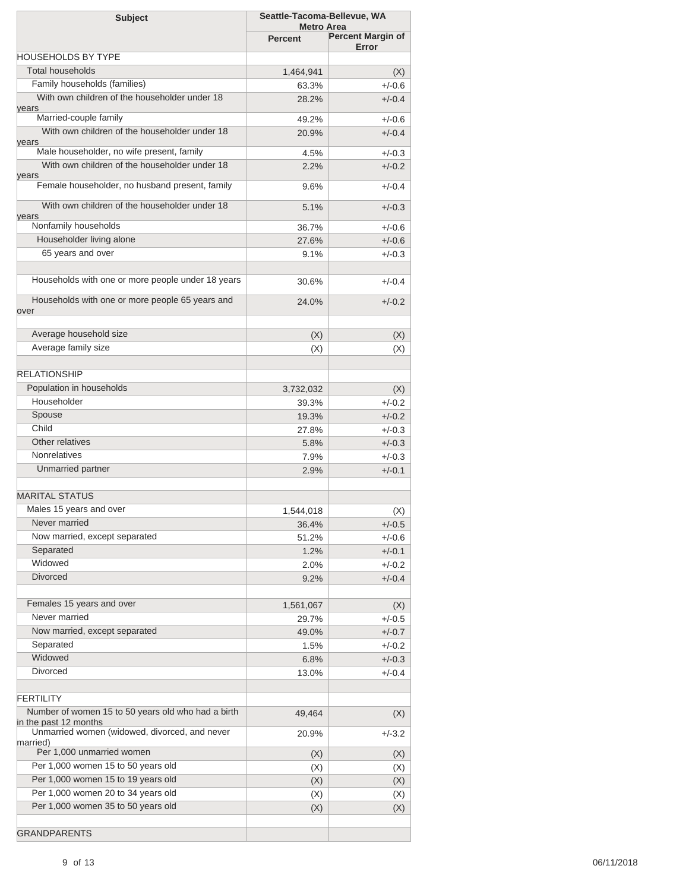| <b>Subject</b>                                                         | Seattle-Tacoma-Bellevue, WA<br><b>Metro Area</b> |                          |
|------------------------------------------------------------------------|--------------------------------------------------|--------------------------|
|                                                                        | <b>Percent</b>                                   | <b>Percent Margin of</b> |
|                                                                        |                                                  | Error                    |
| <b>HOUSEHOLDS BY TYPE</b>                                              |                                                  |                          |
| <b>Total households</b>                                                | 1,464,941                                        | (X)                      |
| Family households (families)                                           | 63.3%                                            | $+/-0.6$                 |
| With own children of the householder under 18<br>years                 | 28.2%                                            | $+/-0.4$                 |
| Married-couple family                                                  | 49.2%                                            | $+/-0.6$                 |
| With own children of the householder under 18<br>years                 | 20.9%                                            | $+/-0.4$                 |
| Male householder, no wife present, family                              | 4.5%                                             | $+/-0.3$                 |
| With own children of the householder under 18<br>years                 | 2.2%                                             | $+/-0.2$                 |
| Female householder, no husband present, family                         | 9.6%                                             | $+/-0.4$                 |
| With own children of the householder under 18<br>years                 | 5.1%                                             | $+/-0.3$                 |
| Nonfamily households                                                   | 36.7%                                            | $+/-0.6$                 |
| Householder living alone                                               | 27.6%                                            | $+/-0.6$                 |
| 65 years and over                                                      | 9.1%                                             | $+/-0.3$                 |
|                                                                        |                                                  |                          |
| Households with one or more people under 18 years                      | 30.6%                                            | $+/-0.4$                 |
| Households with one or more people 65 years and                        | 24.0%                                            | $+/-0.2$                 |
| over                                                                   |                                                  |                          |
| Average household size                                                 | (X)                                              | (X)                      |
| Average family size                                                    | (X)                                              | (X)                      |
|                                                                        |                                                  |                          |
| <b>RELATIONSHIP</b>                                                    |                                                  |                          |
| Population in households                                               | 3,732,032                                        | (X)                      |
| Householder                                                            | 39.3%                                            | $+/-0.2$                 |
| Spouse                                                                 | 19.3%                                            | $+/-0.2$                 |
| Child                                                                  | 27.8%                                            | $+/-0.3$                 |
| Other relatives                                                        | 5.8%                                             | $+/-0.3$                 |
| <b>Nonrelatives</b>                                                    | 7.9%                                             | $+/-0.3$                 |
| Unmarried partner                                                      | 2.9%                                             | $+/-0.1$                 |
|                                                                        |                                                  |                          |
| <b>MARITAL STATUS</b>                                                  |                                                  |                          |
| Males 15 years and over                                                | 1,544,018                                        | (X)                      |
| Never married                                                          | 36.4%                                            | $+/-0.5$                 |
| Now married, except separated                                          | 51.2%                                            | $+/-0.6$                 |
| Separated                                                              | 1.2%                                             | $+/-0.1$                 |
| Widowed                                                                | 2.0%                                             | $+/-0.2$                 |
| <b>Divorced</b>                                                        | 9.2%                                             | $+/-0.4$                 |
|                                                                        |                                                  |                          |
| Females 15 years and over                                              | 1,561,067                                        | (X)                      |
| Never married                                                          | 29.7%                                            | $+/-0.5$                 |
| Now married, except separated                                          | 49.0%                                            | $+/-0.7$                 |
| Separated                                                              | 1.5%                                             | $+/-0.2$                 |
| Widowed                                                                | 6.8%                                             | $+/-0.3$                 |
| <b>Divorced</b>                                                        | 13.0%                                            | $+/-0.4$                 |
|                                                                        |                                                  |                          |
| <b>FERTILITY</b>                                                       |                                                  |                          |
| Number of women 15 to 50 years old who had a birth                     | 49,464                                           | (X)                      |
| in the past 12 months<br>Unmarried women (widowed, divorced, and never | 20.9%                                            | $+/-3.2$                 |
| married)                                                               |                                                  |                          |
| Per 1,000 unmarried women                                              | (X)                                              | (X)                      |
| Per 1,000 women 15 to 50 years old                                     | (X)                                              | (X)                      |
| Per 1,000 women 15 to 19 years old                                     | (X)                                              | (X)                      |
| Per 1,000 women 20 to 34 years old                                     | (X)                                              | (X)                      |
| Per 1,000 women 35 to 50 years old                                     | (X)                                              | (X)                      |
|                                                                        |                                                  |                          |
| <b>GRANDPARENTS</b>                                                    |                                                  |                          |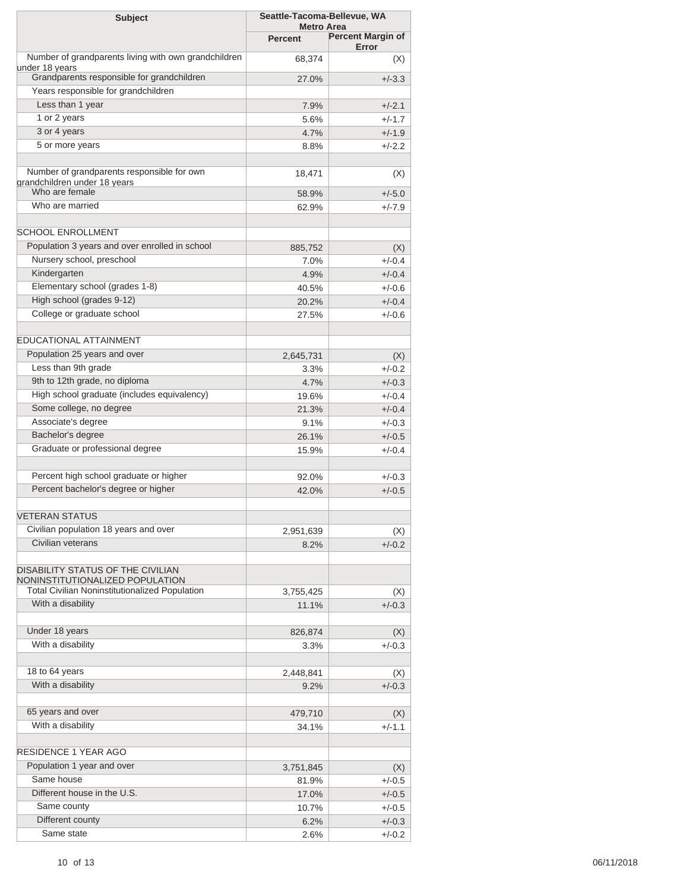| <b>Subject</b>                                                         | Seattle-Tacoma-Bellevue, WA<br><b>Metro Area</b> |                          |  |
|------------------------------------------------------------------------|--------------------------------------------------|--------------------------|--|
|                                                                        | <b>Percent</b>                                   | <b>Percent Margin of</b> |  |
|                                                                        |                                                  | Error                    |  |
| Number of grandparents living with own grandchildren<br>under 18 years | 68,374                                           | (X)                      |  |
| Grandparents responsible for grandchildren                             | 27.0%                                            | $+/-3.3$                 |  |
| Years responsible for grandchildren                                    |                                                  |                          |  |
| Less than 1 year                                                       | 7.9%                                             | $+/-2.1$                 |  |
| 1 or 2 years                                                           | 5.6%                                             | $+/-1.7$                 |  |
| 3 or 4 years                                                           | 4.7%                                             | $+/-1.9$                 |  |
| 5 or more years                                                        | 8.8%                                             | $+/-2.2$                 |  |
| Number of grandparents responsible for own                             | 18,471                                           | (X)                      |  |
| grandchildren under 18 years<br>Who are female                         |                                                  |                          |  |
| Who are married                                                        | 58.9%                                            | $+/-5.0$                 |  |
|                                                                        | 62.9%                                            | $+/-7.9$                 |  |
| <b>SCHOOL ENROLLMENT</b>                                               |                                                  |                          |  |
| Population 3 years and over enrolled in school                         | 885,752                                          | (X)                      |  |
| Nursery school, preschool                                              | 7.0%                                             | $+/-0.4$                 |  |
| Kindergarten                                                           | 4.9%                                             | $+/-0.4$                 |  |
| Elementary school (grades 1-8)                                         | 40.5%                                            | $+/-0.6$                 |  |
| High school (grades 9-12)                                              |                                                  | $+/-0.4$                 |  |
| College or graduate school                                             | 20.2%                                            |                          |  |
|                                                                        | 27.5%                                            | $+/-0.6$                 |  |
| <b>EDUCATIONAL ATTAINMENT</b>                                          |                                                  |                          |  |
| Population 25 years and over                                           | 2,645,731                                        | (X)                      |  |
| Less than 9th grade                                                    | 3.3%                                             | $+/-0.2$                 |  |
| 9th to 12th grade, no diploma                                          | 4.7%                                             | $+/-0.3$                 |  |
| High school graduate (includes equivalency)                            | 19.6%                                            | $+/-0.4$                 |  |
| Some college, no degree                                                | 21.3%                                            | $+/-0.4$                 |  |
| Associate's degree                                                     | 9.1%                                             | $+/-0.3$                 |  |
| Bachelor's degree                                                      | 26.1%                                            | $+/-0.5$                 |  |
| Graduate or professional degree                                        | 15.9%                                            | $+/-0.4$                 |  |
|                                                                        |                                                  |                          |  |
| Percent high school graduate or higher                                 | 92.0%                                            | $+/-0.3$                 |  |
| Percent bachelor's degree or higher                                    | 42.0%                                            | $+/-0.5$                 |  |
|                                                                        |                                                  |                          |  |
| <b>VETERAN STATUS</b>                                                  |                                                  |                          |  |
| Civilian population 18 years and over                                  | 2,951,639                                        | (X)                      |  |
| Civilian veterans                                                      | 8.2%                                             | $+/-0.2$                 |  |
| DISABILITY STATUS OF THE CIVILIAN                                      |                                                  |                          |  |
| NONINSTITUTIONALIZED POPULATION                                        |                                                  |                          |  |
| <b>Total Civilian Noninstitutionalized Population</b>                  | 3,755,425                                        | (X)                      |  |
| With a disability                                                      | 11.1%                                            | $+/-0.3$                 |  |
| Under 18 years                                                         | 826,874                                          |                          |  |
| With a disability                                                      | 3.3%                                             | (X)<br>$+/-0.3$          |  |
|                                                                        |                                                  |                          |  |
| 18 to 64 years                                                         | 2,448,841                                        | (X)                      |  |
| With a disability                                                      | 9.2%                                             | $+/-0.3$                 |  |
|                                                                        |                                                  |                          |  |
| 65 years and over                                                      | 479,710                                          | (X)                      |  |
| With a disability                                                      | 34.1%                                            | $+/-1.1$                 |  |
|                                                                        |                                                  |                          |  |
| <b>RESIDENCE 1 YEAR AGO</b>                                            |                                                  |                          |  |
| Population 1 year and over                                             | 3,751,845                                        | (X)                      |  |
| Same house                                                             | 81.9%                                            | $+/-0.5$                 |  |
| Different house in the U.S.                                            | 17.0%                                            | $+/-0.5$                 |  |
| Same county                                                            | 10.7%                                            | $+/-0.5$                 |  |
| Different county                                                       | 6.2%                                             | $+/-0.3$                 |  |
| Same state                                                             | 2.6%                                             | $+/-0.2$                 |  |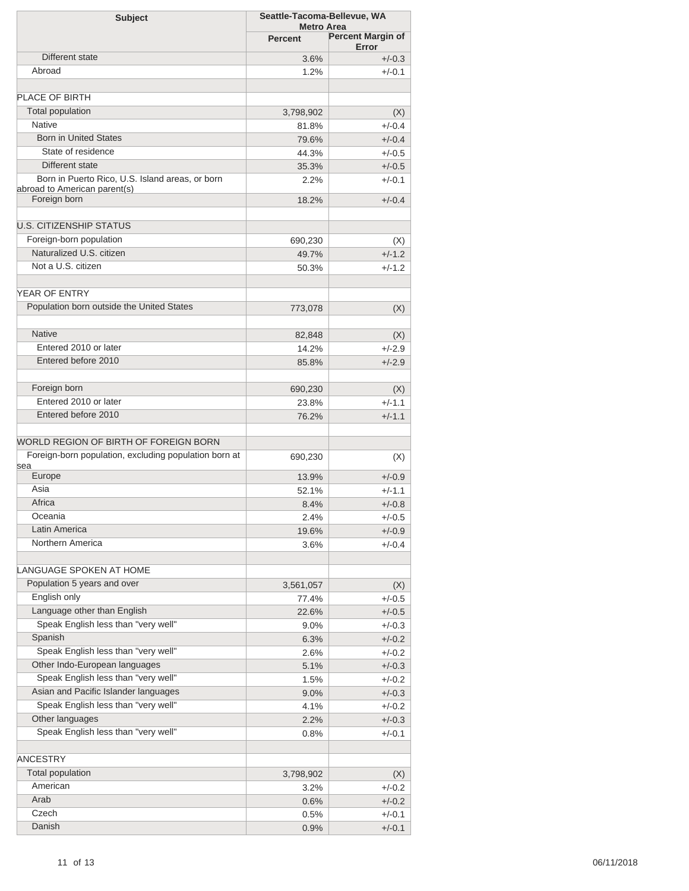| <b>Subject</b>                                        | Seattle-Tacoma-Bellevue, WA |                                   |
|-------------------------------------------------------|-----------------------------|-----------------------------------|
|                                                       | <b>Metro Area</b>           |                                   |
|                                                       | <b>Percent</b>              | <b>Percent Margin of</b><br>Error |
| Different state                                       | 3.6%                        | $+/-0.3$                          |
| Abroad                                                | 1.2%                        | $+/-0.1$                          |
|                                                       |                             |                                   |
| <b>PLACE OF BIRTH</b>                                 |                             |                                   |
| <b>Total population</b>                               | 3,798,902                   | (X)                               |
| <b>Native</b>                                         | 81.8%                       | $+/-0.4$                          |
| <b>Born in United States</b>                          | 79.6%                       | $+/-0.4$                          |
| State of residence                                    | 44.3%                       | $+/-0.5$                          |
| Different state                                       | 35.3%                       | $+/-0.5$                          |
| Born in Puerto Rico, U.S. Island areas, or born       | 2.2%                        | $+/-0.1$                          |
| abroad to American parent(s)                          |                             |                                   |
| Foreign born                                          | 18.2%                       | $+/-0.4$                          |
|                                                       |                             |                                   |
| <b>U.S. CITIZENSHIP STATUS</b>                        |                             |                                   |
| Foreign-born population                               | 690,230                     | (X)                               |
| Naturalized U.S. citizen                              | 49.7%                       | $+/-1.2$                          |
| Not a U.S. citizen                                    | 50.3%                       | $+/-1.2$                          |
|                                                       |                             |                                   |
| YEAR OF ENTRY                                         |                             |                                   |
| Population born outside the United States             | 773,078                     | (X)                               |
|                                                       |                             |                                   |
| <b>Native</b>                                         | 82,848                      | (X)                               |
| Entered 2010 or later                                 | 14.2%                       | $+/-2.9$                          |
| Entered before 2010                                   | 85.8%                       | $+/-2.9$                          |
|                                                       |                             |                                   |
| Foreign born                                          | 690,230                     | (X)                               |
| Entered 2010 or later                                 | 23.8%                       | $+/-1.1$                          |
| Entered before 2010                                   | 76.2%                       | $+/-1.1$                          |
|                                                       |                             |                                   |
| WORLD REGION OF BIRTH OF FOREIGN BORN                 |                             |                                   |
| Foreign-born population, excluding population born at | 690,230                     | (X)                               |
| sea                                                   |                             |                                   |
| Europe                                                | 13.9%                       | $+/-0.9$                          |
| Asia                                                  | 52.1%                       | $+/-1.1$                          |
| Africa                                                | 8.4%                        | $+/-0.8$                          |
| Oceania                                               | 2.4%                        | +/-0.5                            |
| Latin America                                         | 19.6%                       | $+/-0.9$                          |
| Northern America                                      | 3.6%                        | $+/-0.4$                          |
|                                                       |                             |                                   |
| <b>LANGUAGE SPOKEN AT HOME</b>                        |                             |                                   |
| Population 5 years and over                           | 3,561,057                   | (X)                               |
| English only                                          | 77.4%                       | $+/-0.5$                          |
| Language other than English                           | 22.6%                       | $+/-0.5$                          |
| Speak English less than "very well"                   | $9.0\%$                     | $+/-0.3$                          |
| Spanish                                               | 6.3%                        | $+/-0.2$                          |
| Speak English less than "very well"                   | 2.6%                        | $+/-0.2$                          |
| Other Indo-European languages                         | 5.1%                        | $+/-0.3$                          |
| Speak English less than "very well"                   | 1.5%                        | $+/-0.2$                          |
| Asian and Pacific Islander languages                  | 9.0%                        | $+/-0.3$                          |
| Speak English less than "very well"                   | 4.1%                        | $+/-0.2$                          |
| Other languages                                       | 2.2%                        | $+/-0.3$                          |
| Speak English less than "very well"                   | 0.8%                        | $+/-0.1$                          |
|                                                       |                             |                                   |
| <b>ANCESTRY</b>                                       |                             |                                   |
| <b>Total population</b>                               | 3,798,902                   | (X)                               |
| American                                              | $3.2\%$                     | $+/-0.2$                          |
| Arab                                                  | 0.6%                        | $+/-0.2$                          |
| Czech                                                 | 0.5%                        | $+/-0.1$                          |
| Danish                                                |                             |                                   |
|                                                       | 0.9%                        | $+/-0.1$                          |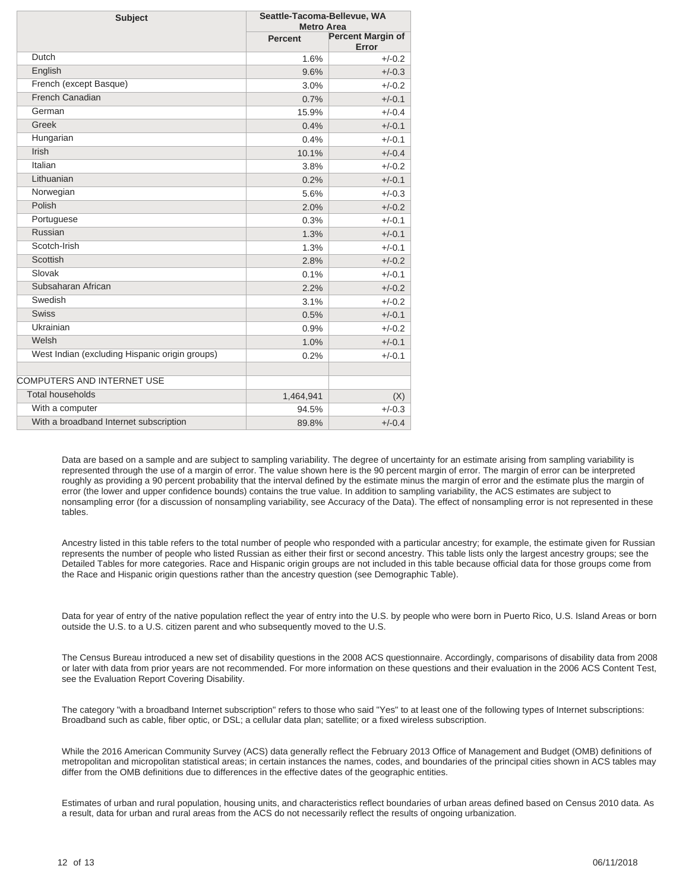| <b>Subject</b>                                 | Seattle-Tacoma-Bellevue, WA<br><b>Metro Area</b> |                                   |  |  |
|------------------------------------------------|--------------------------------------------------|-----------------------------------|--|--|
|                                                | Percent                                          | <b>Percent Margin of</b><br>Error |  |  |
| Dutch                                          | 1.6%                                             | $+/-0.2$                          |  |  |
| English                                        | 9.6%                                             | $+/-0.3$                          |  |  |
| French (except Basque)                         | 3.0%                                             | $+/-0.2$                          |  |  |
| French Canadian                                | 0.7%                                             | $+/-0.1$                          |  |  |
| German                                         | 15.9%                                            | $+/-0.4$                          |  |  |
| Greek                                          | 0.4%                                             | $+/-0.1$                          |  |  |
| Hungarian                                      | 0.4%                                             | $+/-0.1$                          |  |  |
| Irish                                          | 10.1%                                            | $+/-0.4$                          |  |  |
| Italian                                        | 3.8%                                             | $+/-0.2$                          |  |  |
| Lithuanian                                     | 0.2%                                             | $+/-0.1$                          |  |  |
| Norwegian                                      | 5.6%                                             | $+/-0.3$                          |  |  |
| Polish                                         | 2.0%                                             | $+/-0.2$                          |  |  |
| Portuguese                                     | 0.3%                                             | $+/-0.1$                          |  |  |
| Russian                                        | 1.3%                                             | $+/-0.1$                          |  |  |
| Scotch-Irish                                   | 1.3%                                             | $+/-0.1$                          |  |  |
| Scottish                                       | 2.8%                                             | $+/-0.2$                          |  |  |
| Slovak                                         | 0.1%                                             | $+/-0.1$                          |  |  |
| Subsaharan African                             | 2.2%                                             | $+/-0.2$                          |  |  |
| Swedish                                        | 3.1%                                             | $+/-0.2$                          |  |  |
| Swiss                                          | 0.5%                                             | $+/-0.1$                          |  |  |
| Ukrainian                                      | 0.9%                                             | $+/-0.2$                          |  |  |
| Welsh                                          | 1.0%                                             | $+/-0.1$                          |  |  |
| West Indian (excluding Hispanic origin groups) | 0.2%                                             | $+/-0.1$                          |  |  |
|                                                |                                                  |                                   |  |  |
| COMPUTERS AND INTERNET USE                     |                                                  |                                   |  |  |
| <b>Total households</b>                        | 1,464,941                                        | (X)                               |  |  |
| With a computer                                | 94.5%                                            | $+/-0.3$                          |  |  |
| With a broadband Internet subscription         | 89.8%                                            | $+/-0.4$                          |  |  |

Data are based on a sample and are subject to sampling variability. The degree of uncertainty for an estimate arising from sampling variability is represented through the use of a margin of error. The value shown here is the 90 percent margin of error. The margin of error can be interpreted roughly as providing a 90 percent probability that the interval defined by the estimate minus the margin of error and the estimate plus the margin of error (the lower and upper confidence bounds) contains the true value. In addition to sampling variability, the ACS estimates are subject to nonsampling error (for a discussion of nonsampling variability, see Accuracy of the Data). The effect of nonsampling error is not represented in these tables.

Ancestry listed in this table refers to the total number of people who responded with a particular ancestry; for example, the estimate given for Russian represents the number of people who listed Russian as either their first or second ancestry. This table lists only the largest ancestry groups; see the Detailed Tables for more categories. Race and Hispanic origin groups are not included in this table because official data for those groups come from the Race and Hispanic origin questions rather than the ancestry question (see Demographic Table).

Data for year of entry of the native population reflect the year of entry into the U.S. by people who were born in Puerto Rico, U.S. Island Areas or born outside the U.S. to a U.S. citizen parent and who subsequently moved to the U.S.

The Census Bureau introduced a new set of disability questions in the 2008 ACS questionnaire. Accordingly, comparisons of disability data from 2008 or later with data from prior years are not recommended. For more information on these questions and their evaluation in the 2006 ACS Content Test, see the Evaluation Report Covering Disability.

The category "with a broadband Internet subscription" refers to those who said "Yes" to at least one of the following types of Internet subscriptions: Broadband such as cable, fiber optic, or DSL; a cellular data plan; satellite; or a fixed wireless subscription.

While the 2016 American Community Survey (ACS) data generally reflect the February 2013 Office of Management and Budget (OMB) definitions of metropolitan and micropolitan statistical areas; in certain instances the names, codes, and boundaries of the principal cities shown in ACS tables may differ from the OMB definitions due to differences in the effective dates of the geographic entities.

Estimates of urban and rural population, housing units, and characteristics reflect boundaries of urban areas defined based on Census 2010 data. As a result, data for urban and rural areas from the ACS do not necessarily reflect the results of ongoing urbanization.